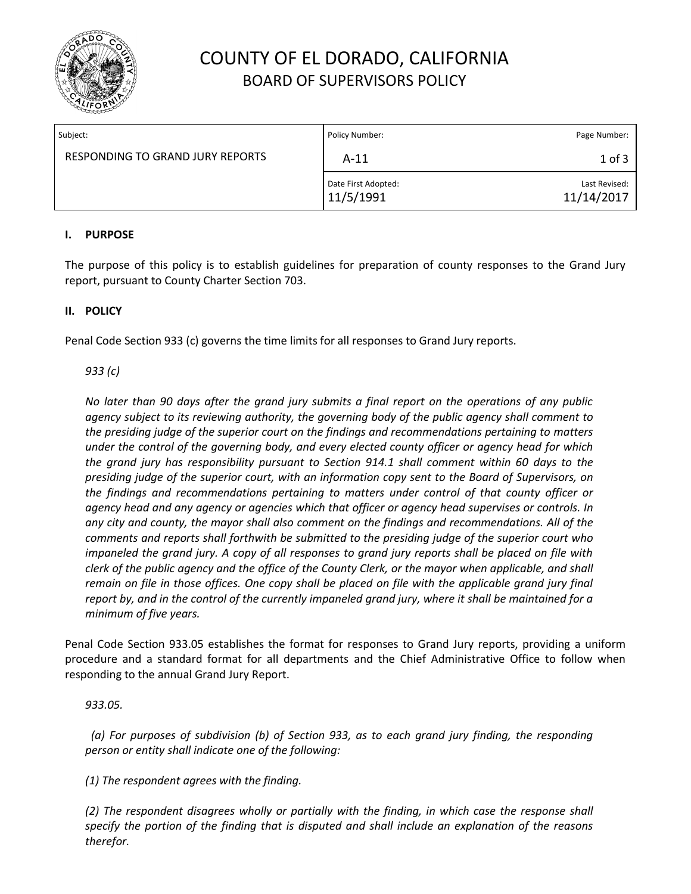

# COUNTY OF EL DORADO, CALIFORNIA BOARD OF SUPERVISORS POLICY

| Subject:                                | Policy Number:                   | Page Number:                |
|-----------------------------------------|----------------------------------|-----------------------------|
| <b>RESPONDING TO GRAND JURY REPORTS</b> | $A-11$                           | $1$ of $3$                  |
|                                         | Date First Adopted:<br>11/5/1991 | Last Revised:<br>11/14/2017 |

### **I. PURPOSE**

The purpose of this policy is to establish guidelines for preparation of county responses to the Grand Jury report, pursuant to County Charter Section 703.

## **II. POLICY**

Penal Code Section 933 (c) governs the time limits for all responses to Grand Jury reports.

### *933 (c)*

*No later than 90 days after the grand jury submits a final report on the operations of any public agency subject to its reviewing authority, the governing body of the public agency shall comment to*  the presiding judge of the superior court on the findings and recommendations pertaining to matters *under the control of the governing body, and every elected county officer or agency head for which the grand jury has responsibility pursuant to Section 914.1 shall comment within 60 days to the presiding judge of the superior court, with an information copy sent to the Board of Supervisors, on the findings and recommendations pertaining to matters under control of that county officer or agency head and any agency or agencies which that officer or agency head supervises or controls. In any city and county, the mayor shall also comment on the findings and recommendations. All of the comments and reports shall forthwith be submitted to the presiding judge of the superior court who impaneled the grand jury. A copy of all responses to grand jury reports shall be placed on file with clerk of the public agency and the office of the County Clerk, or the mayor when applicable, and shall remain on file in those offices. One copy shall be placed on file with the applicable grand jury final report by, and in the control of the currently impaneled grand jury, where it shall be maintained for a minimum of five years.*

Penal Code Section 933.05 establishes the format for responses to Grand Jury reports, providing a uniform procedure and a standard format for all departments and the Chief Administrative Office to follow when responding to the annual Grand Jury Report.

### *933.05.*

 *(a) For purposes of subdivision (b) of Section 933, as to each grand jury finding, the responding person or entity shall indicate one of the following:*

*(1) The respondent agrees with the finding.*

*(2) The respondent disagrees wholly or partially with the finding, in which case the response shall specify the portion of the finding that is disputed and shall include an explanation of the reasons therefor.*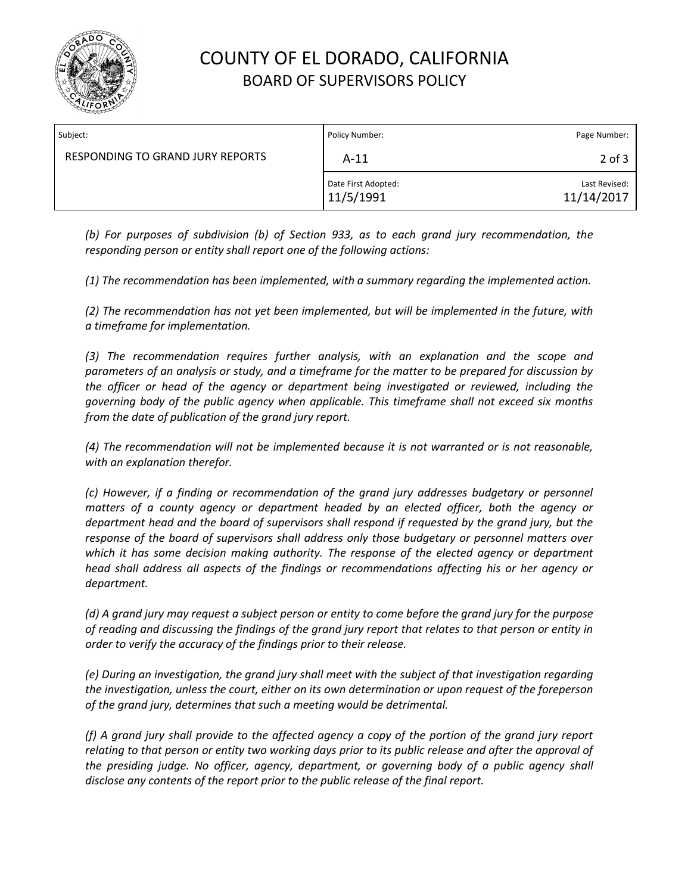

# COUNTY OF EL DORADO, CALIFORNIA BOARD OF SUPERVISORS POLICY

| Subject:                                | Policy Number:                   | Page Number:                |
|-----------------------------------------|----------------------------------|-----------------------------|
| <b>RESPONDING TO GRAND JURY REPORTS</b> | $A-11$                           | $2$ of $3$                  |
|                                         | Date First Adopted:<br>11/5/1991 | Last Revised:<br>11/14/2017 |

*(b) For purposes of subdivision (b) of Section 933, as to each grand jury recommendation, the responding person or entity shall report one of the following actions:*

*(1) The recommendation has been implemented, with a summary regarding the implemented action.*

*(2) The recommendation has not yet been implemented, but will be implemented in the future, with a timeframe for implementation.*

*(3) The recommendation requires further analysis, with an explanation and the scope and parameters of an analysis or study, and a timeframe for the matter to be prepared for discussion by the officer or head of the agency or department being investigated or reviewed, including the governing body of the public agency when applicable. This timeframe shall not exceed six months from the date of publication of the grand jury report.*

*(4) The recommendation will not be implemented because it is not warranted or is not reasonable, with an explanation therefor.*

*(c) However, if a finding or recommendation of the grand jury addresses budgetary or personnel matters of a county agency or department headed by an elected officer, both the agency or department head and the board of supervisors shall respond if requested by the grand jury, but the response of the board of supervisors shall address only those budgetary or personnel matters over which it has some decision making authority. The response of the elected agency or department head shall address all aspects of the findings or recommendations affecting his or her agency or department.*

*(d) A grand jury may request a subject person or entity to come before the grand jury for the purpose of reading and discussing the findings of the grand jury report that relates to that person or entity in order to verify the accuracy of the findings prior to their release.*

*(e) During an investigation, the grand jury shall meet with the subject of that investigation regarding the investigation, unless the court, either on its own determination or upon request of the foreperson of the grand jury, determines that such a meeting would be detrimental.*

*(f) A grand jury shall provide to the affected agency a copy of the portion of the grand jury report relating to that person or entity two working days prior to its public release and after the approval of the presiding judge. No officer, agency, department, or governing body of a public agency shall disclose any contents of the report prior to the public release of the final report.*